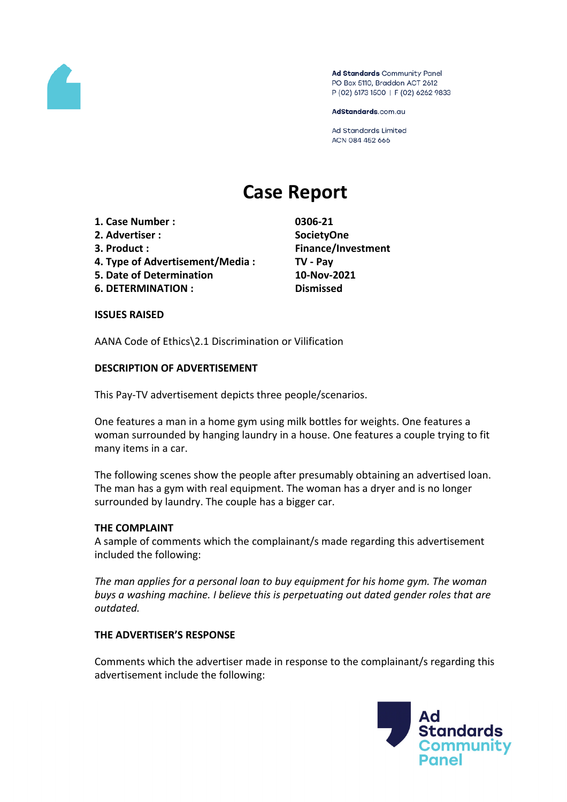

Ad Standards Community Panel PO Box 5110, Braddon ACT 2612 P (02) 6173 1500 | F (02) 6262 9833

AdStandards.com.au

**Ad Standards Limited** ACN 084 452 666

# **Case Report**

- **1. Case Number : 0306-21**
- **2. Advertiser : SocietyOne**
- 
- **4. Type of Advertisement/Media : TV - Pay**
- **5. Date of Determination 10-Nov-2021**
- **6. DETERMINATION : Dismissed**

**3. Product : Finance/Investment**

#### **ISSUES RAISED**

AANA Code of Ethics\2.1 Discrimination or Vilification

## **DESCRIPTION OF ADVERTISEMENT**

This Pay-TV advertisement depicts three people/scenarios.

One features a man in a home gym using milk bottles for weights. One features a woman surrounded by hanging laundry in a house. One features a couple trying to fit many items in a car.

The following scenes show the people after presumably obtaining an advertised loan. The man has a gym with real equipment. The woman has a dryer and is no longer surrounded by laundry. The couple has a bigger car.

#### **THE COMPLAINT**

A sample of comments which the complainant/s made regarding this advertisement included the following:

*The man applies for a personal loan to buy equipment for his home gym. The woman buys a washing machine. I believe this is perpetuating out dated gender roles that are outdated.*

#### **THE ADVERTISER'S RESPONSE**

Comments which the advertiser made in response to the complainant/s regarding this advertisement include the following:

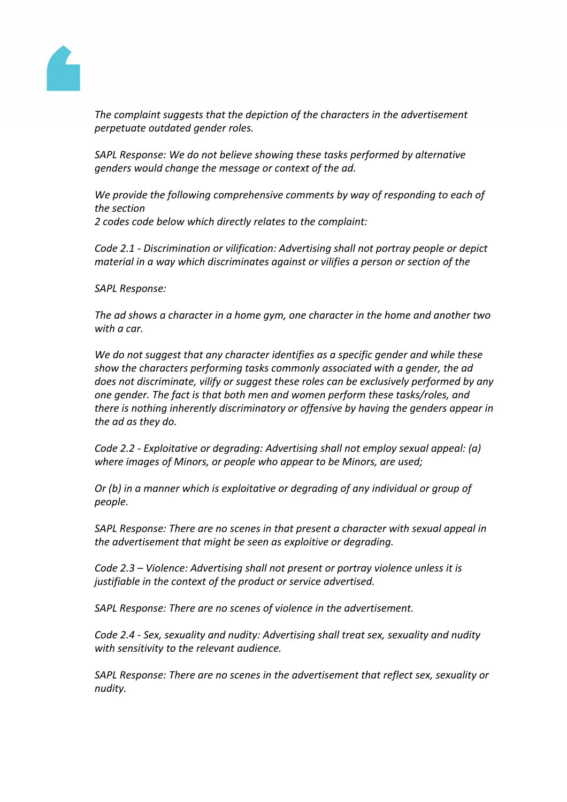

*The complaint suggests that the depiction of the characters in the advertisement perpetuate outdated gender roles.*

*SAPL Response: We do not believe showing these tasks performed by alternative genders would change the message or context of the ad.*

*We provide the following comprehensive comments by way of responding to each of the section 2 codes code below which directly relates to the complaint:*

*Code 2.1 - Discrimination or vilification: Advertising shall not portray people or depict material in a way which discriminates against or vilifies a person or section of the*

*SAPL Response:*

*The ad shows a character in a home gym, one character in the home and another two with a car.*

*We do not suggest that any character identifies as a specific gender and while these show the characters performing tasks commonly associated with a gender, the ad does not discriminate, vilify or suggest these roles can be exclusively performed by any one gender. The fact is that both men and women perform these tasks/roles, and there is nothing inherently discriminatory or offensive by having the genders appear in the ad as they do.*

*Code 2.2 - Exploitative or degrading: Advertising shall not employ sexual appeal: (a) where images of Minors, or people who appear to be Minors, are used;*

*Or (b) in a manner which is exploitative or degrading of any individual or group of people.*

*SAPL Response: There are no scenes in that present a character with sexual appeal in the advertisement that might be seen as exploitive or degrading.*

*Code 2.3 – Violence: Advertising shall not present or portray violence unless it is justifiable in the context of the product or service advertised.*

*SAPL Response: There are no scenes of violence in the advertisement.*

*Code 2.4 - Sex, sexuality and nudity: Advertising shall treat sex, sexuality and nudity with sensitivity to the relevant audience.*

*SAPL Response: There are no scenes in the advertisement that reflect sex, sexuality or nudity.*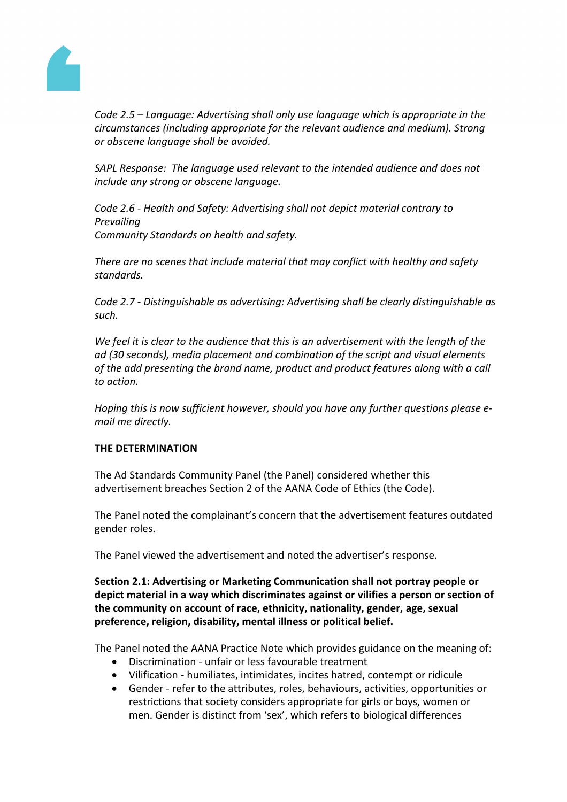

*Code 2.5 – Language: Advertising shall only use language which is appropriate in the circumstances (including appropriate for the relevant audience and medium). Strong or obscene language shall be avoided.*

*SAPL Response: The language used relevant to the intended audience and does not include any strong or obscene language.*

*Code 2.6 - Health and Safety: Advertising shall not depict material contrary to Prevailing Community Standards on health and safety.*

*There are no scenes that include material that may conflict with healthy and safety standards.*

*Code 2.7 - Distinguishable as advertising: Advertising shall be clearly distinguishable as such.*

*We feel it is clear to the audience that this is an advertisement with the length of the ad (30 seconds), media placement and combination of the script and visual elements of the add presenting the brand name, product and product features along with a call to action.*

*Hoping this is now sufficient however, should you have any further questions please email me directly.*

# **THE DETERMINATION**

The Ad Standards Community Panel (the Panel) considered whether this advertisement breaches Section 2 of the AANA Code of Ethics (the Code).

The Panel noted the complainant's concern that the advertisement features outdated gender roles.

The Panel viewed the advertisement and noted the advertiser's response.

**Section 2.1: Advertising or Marketing Communication shall not portray people or depict material in a way which discriminates against or vilifies a person or section of the community on account of race, ethnicity, nationality, gender, age, sexual preference, religion, disability, mental illness or political belief.**

The Panel noted the AANA Practice Note which provides guidance on the meaning of:

- Discrimination unfair or less favourable treatment
- Vilification humiliates, intimidates, incites hatred, contempt or ridicule
- Gender refer to the attributes, roles, behaviours, activities, opportunities or restrictions that society considers appropriate for girls or boys, women or men. Gender is distinct from 'sex', which refers to biological differences